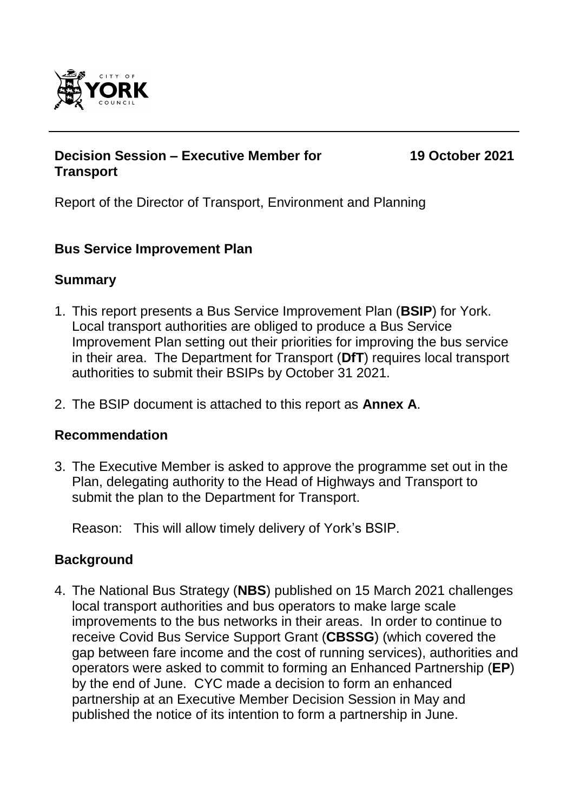

## **Decision Session – Executive Member for Transport**

**19 October 2021**

Report of the Director of Transport, Environment and Planning

## **Bus Service Improvement Plan**

## **Summary**

- 1. This report presents a Bus Service Improvement Plan (**BSIP**) for York. Local transport authorities are obliged to produce a Bus Service Improvement Plan setting out their priorities for improving the bus service in their area. The Department for Transport (**DfT**) requires local transport authorities to submit their BSIPs by October 31 2021.
- 2. The BSIP document is attached to this report as **Annex A**.

## **Recommendation**

3. The Executive Member is asked to approve the programme set out in the Plan, delegating authority to the Head of Highways and Transport to submit the plan to the Department for Transport.

Reason: This will allow timely delivery of York's BSIP.

## **Background**

4. The National Bus Strategy (**NBS**) published on 15 March 2021 challenges local transport authorities and bus operators to make large scale improvements to the bus networks in their areas. In order to continue to receive Covid Bus Service Support Grant (**CBSSG**) (which covered the gap between fare income and the cost of running services), authorities and operators were asked to commit to forming an Enhanced Partnership (**EP**) by the end of June. CYC made a decision to form an enhanced partnership at an Executive Member Decision Session in May and published the notice of its intention to form a partnership in June.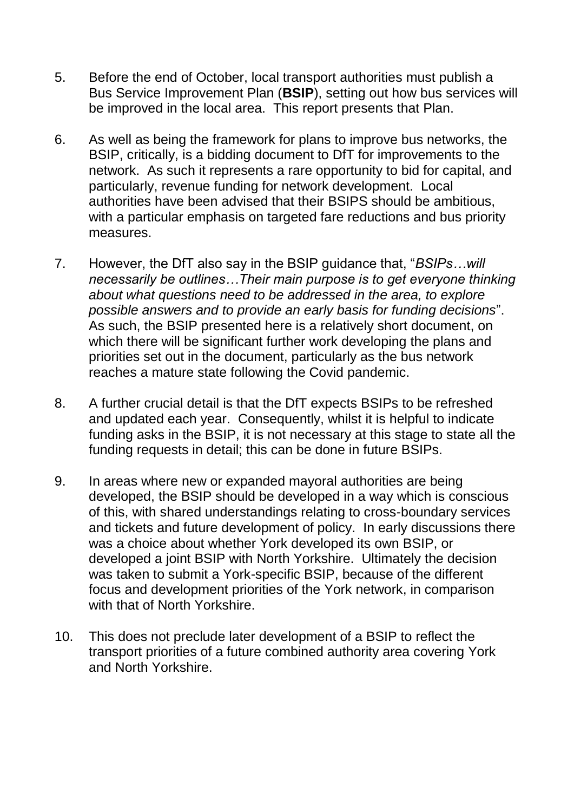- 5. Before the end of October, local transport authorities must publish a Bus Service Improvement Plan (**BSIP**), setting out how bus services will be improved in the local area. This report presents that Plan.
- 6. As well as being the framework for plans to improve bus networks, the BSIP, critically, is a bidding document to DfT for improvements to the network. As such it represents a rare opportunity to bid for capital, and particularly, revenue funding for network development. Local authorities have been advised that their BSIPS should be ambitious, with a particular emphasis on targeted fare reductions and bus priority measures.
- 7. However, the DfT also say in the BSIP guidance that, "*BSIPs…will necessarily be outlines…Their main purpose is to get everyone thinking about what questions need to be addressed in the area, to explore possible answers and to provide an early basis for funding decisions*". As such, the BSIP presented here is a relatively short document, on which there will be significant further work developing the plans and priorities set out in the document, particularly as the bus network reaches a mature state following the Covid pandemic.
- 8. A further crucial detail is that the DfT expects BSIPs to be refreshed and updated each year. Consequently, whilst it is helpful to indicate funding asks in the BSIP, it is not necessary at this stage to state all the funding requests in detail; this can be done in future BSIPs.
- 9. In areas where new or expanded mayoral authorities are being developed, the BSIP should be developed in a way which is conscious of this, with shared understandings relating to cross-boundary services and tickets and future development of policy. In early discussions there was a choice about whether York developed its own BSIP, or developed a joint BSIP with North Yorkshire. Ultimately the decision was taken to submit a York-specific BSIP, because of the different focus and development priorities of the York network, in comparison with that of North Yorkshire.
- 10. This does not preclude later development of a BSIP to reflect the transport priorities of a future combined authority area covering York and North Yorkshire.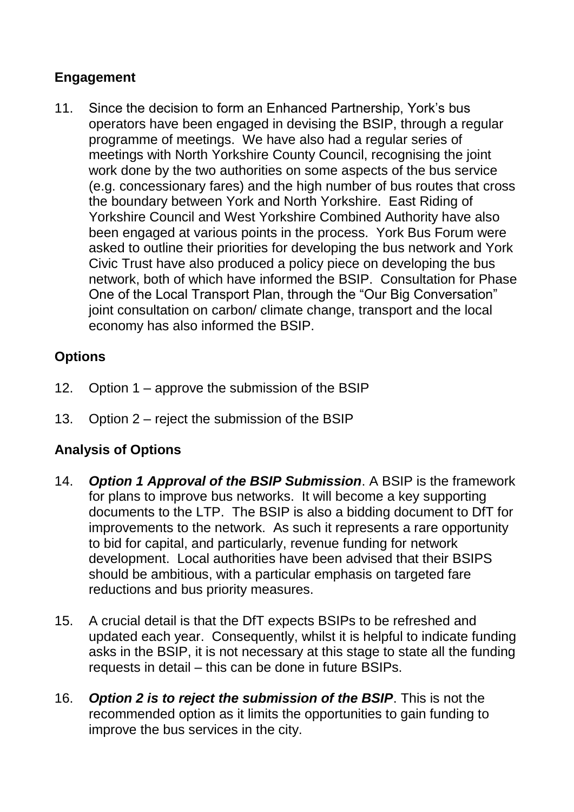## **Engagement**

11. Since the decision to form an Enhanced Partnership, York's bus operators have been engaged in devising the BSIP, through a regular programme of meetings. We have also had a regular series of meetings with North Yorkshire County Council, recognising the joint work done by the two authorities on some aspects of the bus service (e.g. concessionary fares) and the high number of bus routes that cross the boundary between York and North Yorkshire. East Riding of Yorkshire Council and West Yorkshire Combined Authority have also been engaged at various points in the process. York Bus Forum were asked to outline their priorities for developing the bus network and York Civic Trust have also produced a policy piece on developing the bus network, both of which have informed the BSIP. Consultation for Phase One of the Local Transport Plan, through the "Our Big Conversation" joint consultation on carbon/ climate change, transport and the local economy has also informed the BSIP.

# **Options**

- 12. Option 1 approve the submission of the BSIP
- 13. Option 2 reject the submission of the BSIP

# **Analysis of Options**

- 14. *Option 1 Approval of the BSIP Submission*. A BSIP is the framework for plans to improve bus networks. It will become a key supporting documents to the LTP. The BSIP is also a bidding document to DfT for improvements to the network. As such it represents a rare opportunity to bid for capital, and particularly, revenue funding for network development. Local authorities have been advised that their BSIPS should be ambitious, with a particular emphasis on targeted fare reductions and bus priority measures.
- 15. A crucial detail is that the DfT expects BSIPs to be refreshed and updated each year. Consequently, whilst it is helpful to indicate funding asks in the BSIP, it is not necessary at this stage to state all the funding requests in detail – this can be done in future BSIPs.
- 16. *Option 2 is to reject the submission of the BSIP*. This is not the recommended option as it limits the opportunities to gain funding to improve the bus services in the city.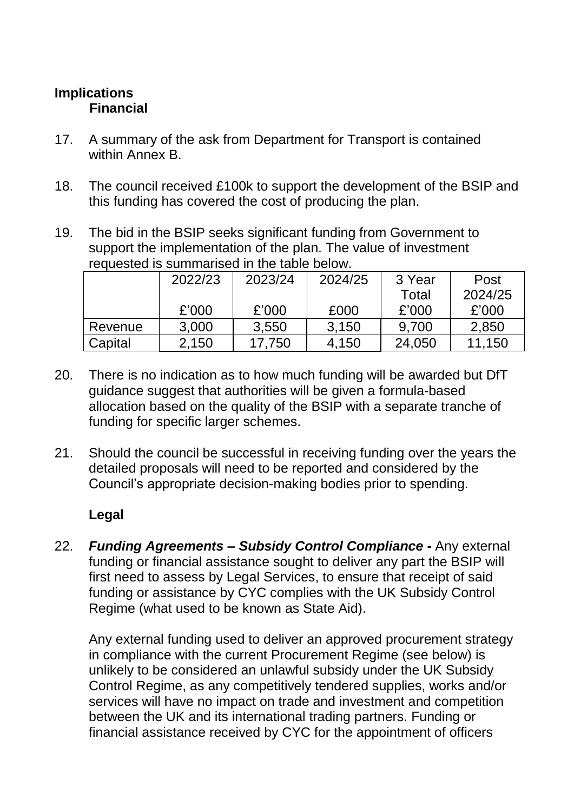# **Implications Financial**

- 17. A summary of the ask from Department for Transport is contained within Annex B.
- 18. The council received £100k to support the development of the BSIP and this funding has covered the cost of producing the plan.
- 19. The bid in the BSIP seeks significant funding from Government to support the implementation of the plan. The value of investment requested is summarised in the table below.

|         | 2022/23 | 2023/24 | 2024/25 | 3 Year | Post    |
|---------|---------|---------|---------|--------|---------|
|         |         |         |         | Total  | 2024/25 |
|         | £'000   | £'000   | £000    | £'000  | £'000   |
| Revenue | 3,000   | 3,550   | 3.150   | 9.700  | 2,850   |
| Capital | 2,150   | 17,750  | 4,150   | 24,050 | 11.150  |

- 20. There is no indication as to how much funding will be awarded but DfT guidance suggest that authorities will be given a formula-based allocation based on the quality of the BSIP with a separate tranche of funding for specific larger schemes.
- 21. Should the council be successful in receiving funding over the years the detailed proposals will need to be reported and considered by the Council's appropriate decision-making bodies prior to spending.

# **Legal**

22. *Funding Agreements – Subsidy Control Compliance -* Any external funding or financial assistance sought to deliver any part the BSIP will first need to assess by Legal Services, to ensure that receipt of said funding or assistance by CYC complies with the UK Subsidy Control Regime (what used to be known as State Aid).

Any external funding used to deliver an approved procurement strategy in compliance with the current Procurement Regime (see below) is unlikely to be considered an unlawful subsidy under the UK Subsidy Control Regime, as any competitively tendered supplies, works and/or services will have no impact on trade and investment and competition between the UK and its international trading partners. Funding or financial assistance received by CYC for the appointment of officers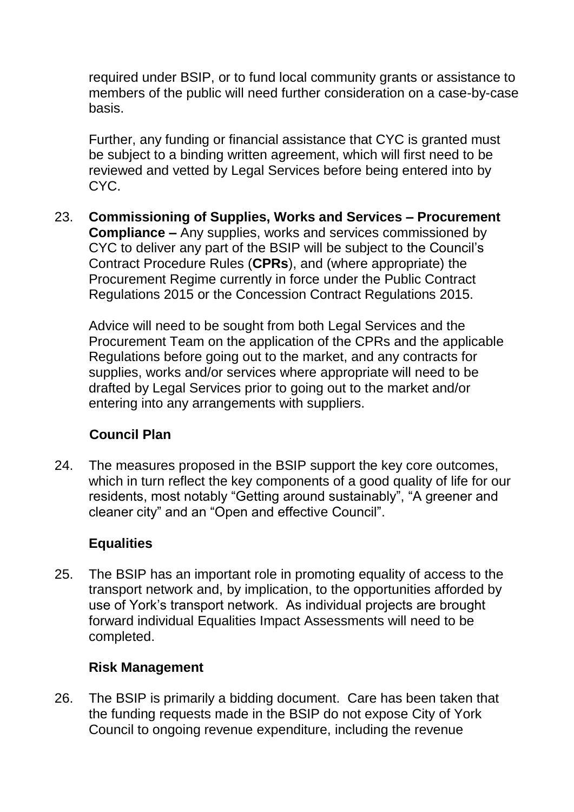required under BSIP, or to fund local community grants or assistance to members of the public will need further consideration on a case-by-case basis.

Further, any funding or financial assistance that CYC is granted must be subject to a binding written agreement, which will first need to be reviewed and vetted by Legal Services before being entered into by CYC.

23. **Commissioning of Supplies, Works and Services – Procurement Compliance** *–* Any supplies, works and services commissioned by CYC to deliver any part of the BSIP will be subject to the Council's Contract Procedure Rules (**CPRs**), and (where appropriate) the Procurement Regime currently in force under the Public Contract Regulations 2015 or the Concession Contract Regulations 2015.

Advice will need to be sought from both Legal Services and the Procurement Team on the application of the CPRs and the applicable Regulations before going out to the market, and any contracts for supplies, works and/or services where appropriate will need to be drafted by Legal Services prior to going out to the market and/or entering into any arrangements with suppliers.

# **Council Plan**

24. The measures proposed in the BSIP support the key core outcomes, which in turn reflect the key components of a good quality of life for our residents, most notably "Getting around sustainably", "A greener and cleaner city" and an "Open and effective Council".

## **Equalities**

25. The BSIP has an important role in promoting equality of access to the transport network and, by implication, to the opportunities afforded by use of York's transport network. As individual projects are brought forward individual Equalities Impact Assessments will need to be completed.

## **Risk Management**

26. The BSIP is primarily a bidding document. Care has been taken that the funding requests made in the BSIP do not expose City of York Council to ongoing revenue expenditure, including the revenue